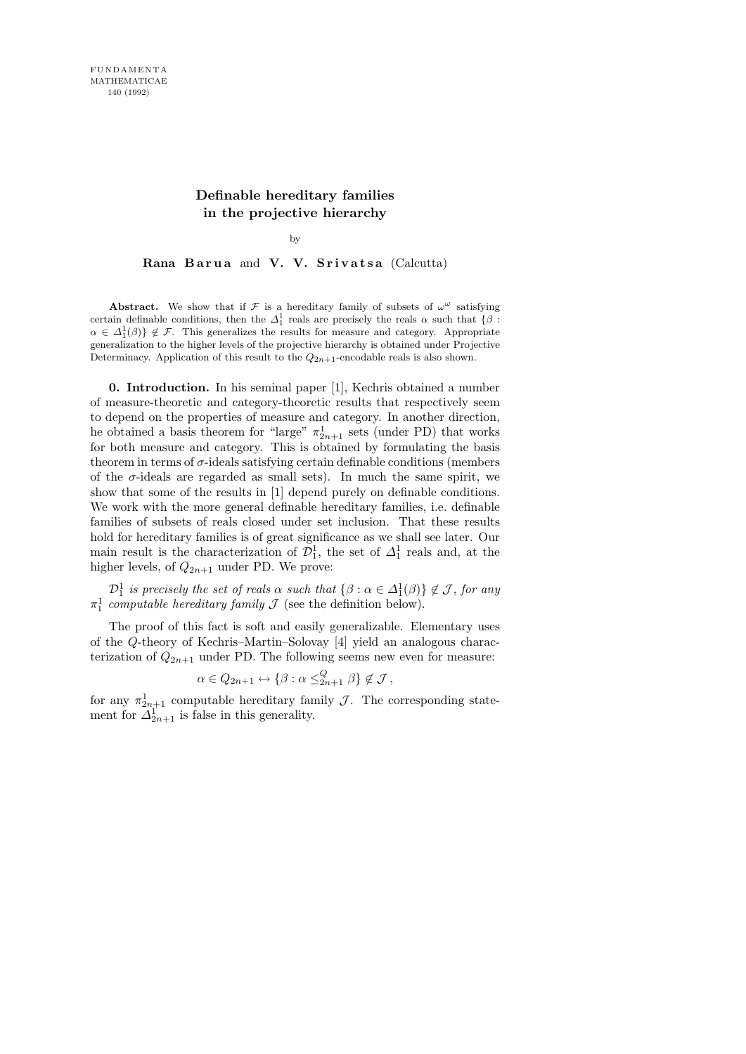## Definable hereditary families in the projective hierarchy

by

Rana Barua and V. V. Srivatsa (Calcutta)

**Abstract.** We show that if  $\mathcal F$  is a hereditary family of subsets of  $\omega^{\omega}$  satisfying certain definable conditions, then the  $\Delta_1^1$  reals are precisely the reals  $\alpha$  such that  $\{\beta :$  $\alpha \in \Delta_1^1(\beta)$   $\notin \mathcal{F}$ . This generalizes the results for measure and category. Appropriate generalization to the higher levels of the projective hierarchy is obtained under Projective Determinacy. Application of this result to the  $Q_{2n+1}$ -encodable reals is also shown.

0. Introduction. In his seminal paper [1], Kechris obtained a number of measure-theoretic and category-theoretic results that respectively seem to depend on the properties of measure and category. In another direction, he obtained a basis theorem for "large"  $\pi_{2n+1}^1$  sets (under PD) that works for both measure and category. This is obtained by formulating the basis theorem in terms of  $\sigma$ -ideals satisfying certain definable conditions (members of the  $\sigma$ -ideals are regarded as small sets). In much the same spirit, we show that some of the results in [1] depend purely on definable conditions. We work with the more general definable hereditary families, i.e. definable families of subsets of reals closed under set inclusion. That these results hold for hereditary families is of great significance as we shall see later. Our main result is the characterization of  $\mathcal{D}_1^1$ , the set of  $\Delta_1^1$  reals and, at the higher levels, of  $Q_{2n+1}$  under PD. We prove:

 $\mathcal{D}_1^1$  is precisely the set of reals  $\alpha$  such that  $\{\beta : \alpha \in \Delta_1^1(\beta)\} \notin \mathcal{J}$ , for any  $\pi_1^1$  computable hereditary family  $\mathcal J$  (see the definition below).

The proof of this fact is soft and easily generalizable. Elementary uses of the Q-theory of Kechris–Martin–Solovay [4] yield an analogous characterization of  $Q_{2n+1}$  under PD. The following seems new even for measure:

$$
\alpha \in Q_{2n+1} \leftrightarrow \{\beta : \alpha \leq_{2n+1}^Q \beta\} \notin \mathcal{J},
$$

for any  $\pi_{2n+1}^1$  computable hereditary family  $\mathcal{J}$ . The corresponding statement for  $\Delta_{2n+1}^1$  is false in this generality.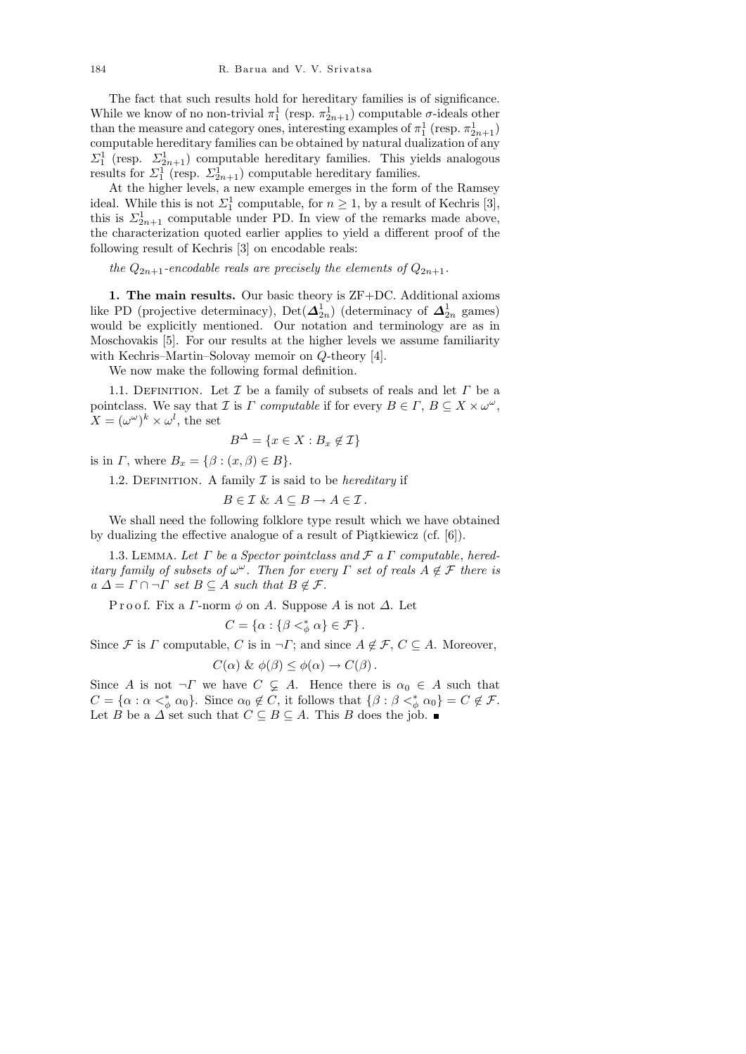The fact that such results hold for hereditary families is of significance. While we know of no non-trivial  $\pi_1^1$  (resp.  $\pi_{2n+1}^1$ ) computable  $\sigma$ -ideals other than the measure and category ones, interesting examples of  $\pi_1^1$  (resp.  $\pi_{2n+1}^1$ ) computable hereditary families can be obtained by natural dualization of any  $\Sigma_1^1$  (resp.  $\Sigma_{2n+1}^1$ ) computable hereditary families. This yields analogous results for  $\Sigma_1^1$  (resp.  $\Sigma_{2n+1}^1$ ) computable hereditary families.

At the higher levels, a new example emerges in the form of the Ramsey ideal. While this is not  $\Sigma_1^1$  computable, for  $n \geq 1$ , by a result of Kechris [3], this is  $\Sigma_{2n+1}^1$  computable under PD. In view of the remarks made above, the characterization quoted earlier applies to yield a different proof of the following result of Kechris [3] on encodable reals:

the  $Q_{2n+1}$ -encodable reals are precisely the elements of  $Q_{2n+1}$ .

1. The main results. Our basic theory is ZF+DC. Additional axioms like PD (projective determinacy), Det $(\Delta_{2n}^1)$  (determinacy of  $\Delta_{2n}^1$  games) would be explicitly mentioned. Our notation and terminology are as in Moschovakis [5]. For our results at the higher levels we assume familiarity with Kechris–Martin–Solovay memoir on Q-theory [4].

We now make the following formal definition.

1.1. DEFINITION. Let  $\mathcal I$  be a family of subsets of reals and let  $\Gamma$  be a pointclass. We say that *I* is *Γ* computable if for every  $B \in \Gamma$ ,  $B \subseteq X \times \omega^{\omega}$ ,  $X = (\omega^{\omega})^k \times \omega^l$ , the set

$$
B^{\Delta} = \{ x \in X : B_x \notin \mathcal{I} \}
$$

is in  $\Gamma$ , where  $B_x = \{ \beta : (x, \beta) \in B \}.$ 

1.2. DEFINITION. A family  $\mathcal I$  is said to be *hereditary* if

$$
B\in\mathcal{I}\ \&\ A\subseteq B\rightarrow A\in\mathcal{I}\,.
$$

We shall need the following folklore type result which we have obtained by dualizing the effective analogue of a result of Piątkiewicz (cf.  $[6]$ ).

1.3. LEMMA. Let  $\Gamma$  be a Spector pointclass and  $\mathcal F$  a  $\Gamma$  computable, hereditary family of subsets of  $\omega^{\omega}$ . Then for every  $\Gamma$  set of reals  $A \notin \mathcal{F}$  there is  $a \Delta = \Gamma \cap \neg \Gamma$  set  $B \subseteq A$  such that  $B \notin \mathcal{F}$ .

P r o o f. Fix a  $\Gamma$ -norm  $\phi$  on A. Suppose A is not  $\Delta$ . Let

$$
C = \{ \alpha : \{ \beta <^*_{\phi} \alpha \} \in \mathcal{F} \}.
$$

Since F is  $\Gamma$  computable, C is in  $\neg \Gamma$ ; and since  $A \notin \mathcal{F}$ ,  $C \subseteq A$ . Moreover,

$$
C(\alpha) \& \phi(\beta) \leq \phi(\alpha) \to C(\beta).
$$

Since A is not  $\neg\Gamma$  we have  $C \subsetneq A$ . Hence there is  $\alpha_0 \in A$  such that  $C = {\alpha : \alpha <^*_{\phi} \alpha_0}$ . Since  $\alpha_0 \notin C$ , it follows that  ${\beta : \beta <^*_{\phi} \alpha_0} = C \notin \mathcal{F}$ . Let B be a  $\Delta$  set such that  $C \subseteq B \subseteq A$ . This B does the job.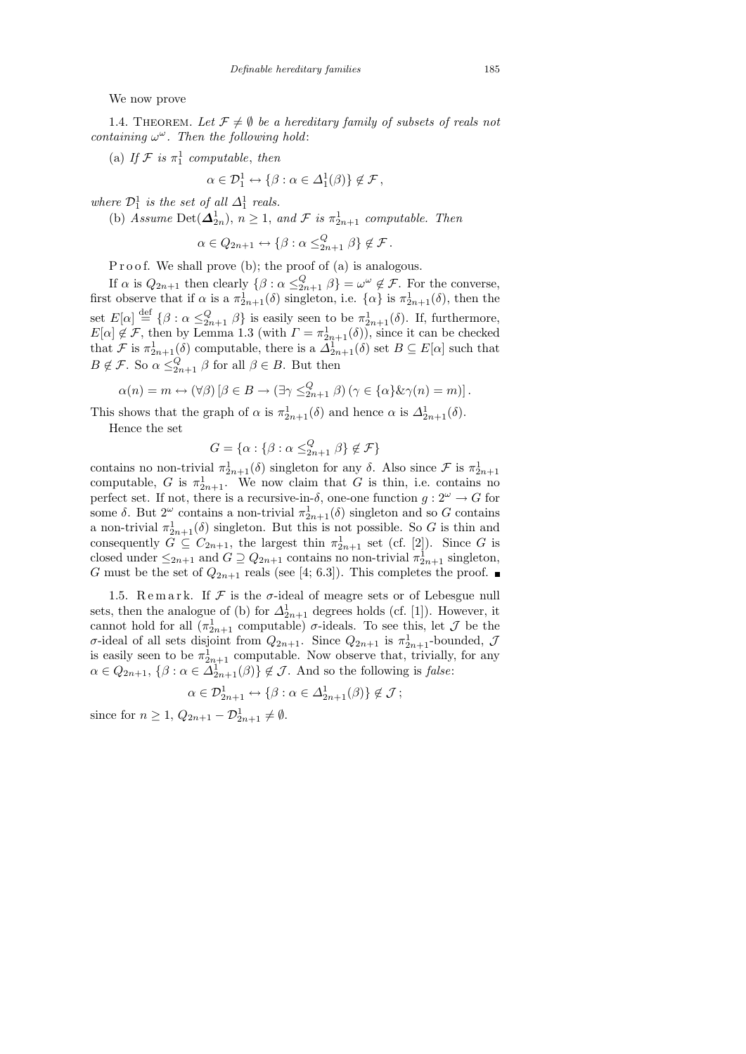We now prove

1.4. THEOREM. Let  $\mathcal{F} \neq \emptyset$  be a hereditary family of subsets of reals not containing  $\omega^{\omega}$ . Then the following hold:

(a) If  $\mathcal F$  is  $\pi_1^1$  computable, then

$$
\alpha \in \mathcal{D}_1^1 \leftrightarrow \{ \beta : \alpha \in \Delta_1^1(\beta) \} \notin \mathcal{F},
$$

where  $\mathcal{D}_1^1$  is the set of all  $\Delta_1^1$  reals.

(b) Assume Det $(\Delta_{2n}^1)$ ,  $n \geq 1$ , and  $\mathcal F$  is  $\pi_{2n+1}^1$  computable. Then

$$
\alpha \in Q_{2n+1} \leftrightarrow \{\beta : \alpha \leq_{2n+1}^Q \beta\} \notin \mathcal{F}.
$$

P r o o f. We shall prove (b); the proof of (a) is analogous.

If  $\alpha$  is  $Q_{2n+1}$  then clearly  $\{\beta : \alpha \leq_{2n+1}^Q \beta\} = \omega^\omega \notin \mathcal{F}$ . For the converse, first observe that if  $\alpha$  is a  $\pi_{2n+1}^1(\delta)$  singleton, i.e.  $\{\alpha\}$  is  $\pi_{2n+1}^1(\delta)$ , then the set  $E[\alpha] \stackrel{\text{def}}{=} {\{\beta : \alpha \leq_{2n+1}^Q \beta\}}$  is easily seen to be  $\pi_{2n+1}^1(\delta)$ . If, furthermore,  $E[\alpha] \notin \mathcal{F}$ , then by Lemma 1.3 (with  $\Gamma = \pi_{2n+1}^1(\delta)$ ), since it can be checked that F is  $\pi_{2n+1}^1(\delta)$  computable, there is a  $\Delta_{2n+1}^1(\delta)$  set  $B \subseteq E[\alpha]$  such that  $B \notin \mathcal{F}$ . So  $\alpha \leq_{2n+1}^Q \beta$  for all  $\beta \in B$ . But then

$$
\alpha(n) = m \leftrightarrow (\forall \beta) [\beta \in B \to (\exists \gamma \leq_{2n+1}^Q \beta) (\gamma \in {\alpha} \& \gamma(n) = m)].
$$

This shows that the graph of  $\alpha$  is  $\pi_{2n+1}^1(\delta)$  and hence  $\alpha$  is  $\Delta_{2n+1}^1(\delta)$ .

Hence the set

$$
G = \{ \alpha : \{ \beta : \alpha \leq_{2n+1}^Q \beta \} \notin \mathcal{F} \}
$$

contains no non-trivial  $\pi_{2n+1}^1(\delta)$  singleton for any  $\delta$ . Also since  $\mathcal F$  is  $\pi_{2n+1}^1$ computable, G is  $\pi_{2n+1}^1$ . We now claim that G is thin, i.e. contains no perfect set. If not, there is a recursive-in- $\delta$ , one-one function  $g: 2^{\omega} \to G$  for some  $\delta$ . But  $2^{\omega}$  contains a non-trivial  $\pi_{2n+1}^1(\delta)$  singleton and so G contains a non-trivial  $\pi_{2n+1}^1(\delta)$  singleton. But this is not possible. So G is thin and consequently  $G \subseteq C_{2n+1}$ , the largest thin  $\pi_{2n+1}^1$  set (cf. [2]). Since G is closed under  $\leq_{2n+1}$  and  $G \supseteq Q_{2n+1}$  contains no non-trivial  $\pi_{2n+1}^1$  singleton, G must be the set of  $Q_{2n+1}$  reals (see [4; 6.3]). This completes the proof.

1.5. Remark. If  $\mathcal F$  is the  $\sigma$ -ideal of meagre sets or of Lebesgue null sets, then the analogue of (b) for  $\Delta_{2n+1}^1$  degrees holds (cf. [1]). However, it cannot hold for all  $(\pi_{2n+1}^1 \text{ computable})$  *σ*-ideals. To see this, let  $\mathcal J$  be the  $\sigma$ -ideal of all sets disjoint from  $Q_{2n+1}$ . Since  $Q_{2n+1}$  is  $\pi_{2n+1}^1$ -bounded,  $\mathcal{J}$ is easily seen to be  $\pi_{2n+1}^1$  computable. Now observe that, trivially, for any  $\alpha \in Q_{2n+1}, \ \{\beta : \alpha \in \Delta_{2n+1}^1(\beta)\}\notin \mathcal{J}.$  And so the following is false:

$$
\alpha \in \mathcal{D}_{2n+1}^1 \leftrightarrow \{ \beta : \alpha \in \Delta_{2n+1}^1(\beta) \} \notin \mathcal{J};
$$

since for  $n \geq 1$ ,  $Q_{2n+1} - \mathcal{D}_{2n+1}^1 \neq \emptyset$ .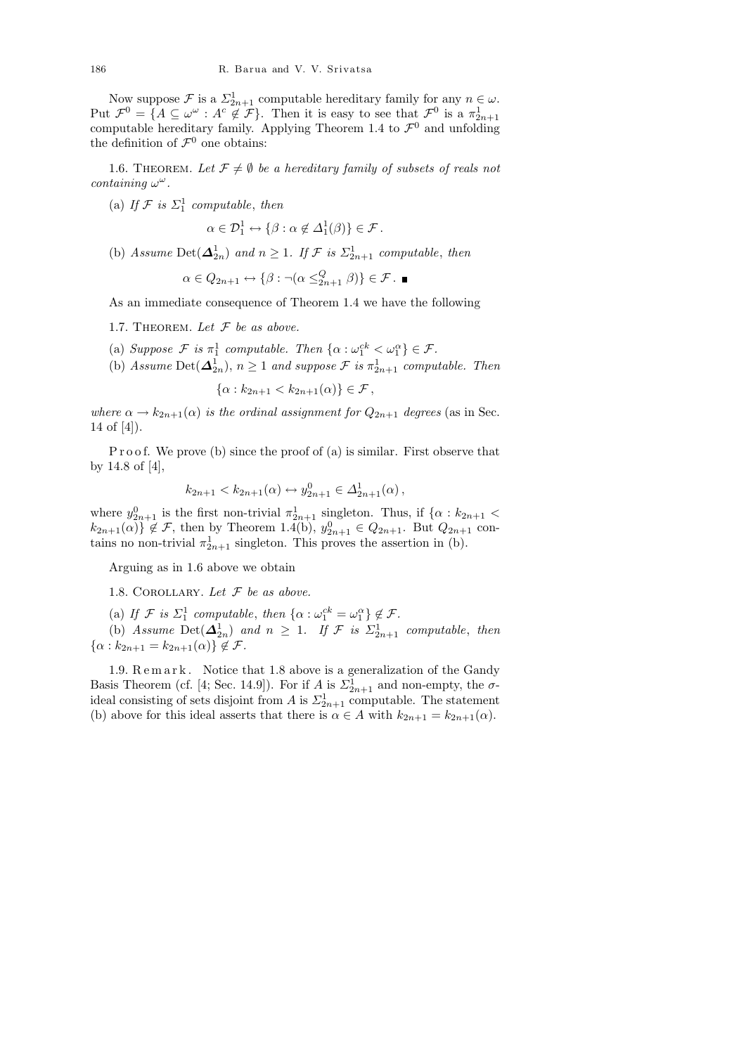Now suppose  $\mathcal F$  is a  $\Sigma_{2n+1}^1$  computable hereditary family for any  $n \in \omega$ . Put  $\mathcal{F}^0 = \{ A \subseteq \omega^\omega : A^c \notin \mathcal{F} \}.$  Then it is easy to see that  $\mathcal{F}^0$  is a  $\pi^1_{2n+1}$ computable hereditary family. Applying Theorem 1.4 to  $\mathcal{F}^0$  and unfolding the definition of  $\mathcal{F}^0$  one obtains:

1.6. THEOREM. Let  $\mathcal{F} \neq \emptyset$  be a hereditary family of subsets of reals not  $containing \omega^{\omega}$ .

(a) If  $\mathcal{F}$  is  $\Sigma_1^1$  computable, then

$$
\alpha \in \mathcal{D}_1^1 \leftrightarrow \{ \beta : \alpha \notin \Delta_1^1(\beta) \} \in \mathcal{F}.
$$

(b) Assume Det $(\Delta_{2n}^1)$  and  $n \geq 1$ . If  $\mathcal F$  is  $\Sigma_{2n+1}^1$  computable, then

$$
\alpha \in Q_{2n+1} \leftrightarrow \{\beta : \neg(\alpha \leq^Q_{2n+1} \beta)\} \in \mathcal{F}.
$$

As an immediate consequence of Theorem 1.4 we have the following

- 1.7. THEOREM. Let  $F$  be as above.
- (a) Suppose  $\mathcal{F}$  is  $\pi_1^1$  computable. Then  $\{\alpha : \omega_1^{ck} < \omega_1^{\alpha}\} \in \mathcal{F}$ .
- (b) Assume Det $(\Delta_{2n}^1)$ ,  $n \geq 1$  and suppose  $\mathcal F$  is  $\pi_{2n+1}^1$  computable. Then

$$
\{\alpha : k_{2n+1} < k_{2n+1}(\alpha) \} \in \mathcal{F},
$$

where  $\alpha \to k_{2n+1}(\alpha)$  is the ordinal assignment for  $Q_{2n+1}$  degrees (as in Sec. 14 of [4]).

P r o o f. We prove (b) since the proof of (a) is similar. First observe that by 14.8 of [4],

$$
k_{2n+1} < k_{2n+1}(\alpha) \leftrightarrow y_{2n+1}^0 \in \Delta_{2n+1}^1(\alpha) \,,
$$

where  $y_{2n+1}^0$  is the first non-trivial  $\pi_{2n+1}^1$  singleton. Thus, if  $\{\alpha : k_{2n+1} <$  $k_{2n+1}(\alpha) \nbrace \notin \mathcal{F}$ , then by Theorem 1.4(b),  $y_{2n+1}^0 \in Q_{2n+1}$ . But  $Q_{2n+1}$  contains no non-trivial  $\pi_{2n+1}^1$  singleton. This proves the assertion in (b).

Arguing as in 1.6 above we obtain

1.8. COROLLARY. Let  $F$  be as above.

(a) If  $\mathcal{F}$  is  $\Sigma_1^1$  computable, then  $\{\alpha : \omega_1^{ck} = \omega_1^{\alpha}\} \notin \mathcal{F}$ .

(b) Assume Det $(\Delta_{2n}^1)$  and  $n \geq 1$ . If  $\mathcal F$  is  $\Sigma_{2n+1}^1$  computable, then  $\{\alpha : k_{2n+1} = k_{2n+1}(\alpha) \} \notin \mathcal{F}.$ 

1.9. Remark. Notice that 1.8 above is a generalization of the Gandy Basis Theorem (cf. [4; Sec. 14.9]). For if A is  $\Sigma_{2n+1}^1$  and non-empty, the  $\sigma$ ideal consisting of sets disjoint from A is  $\Sigma_{2n+1}^1$  computable. The statement (b) above for this ideal asserts that there is  $\alpha \in A$  with  $k_{2n+1} = k_{2n+1}(\alpha)$ .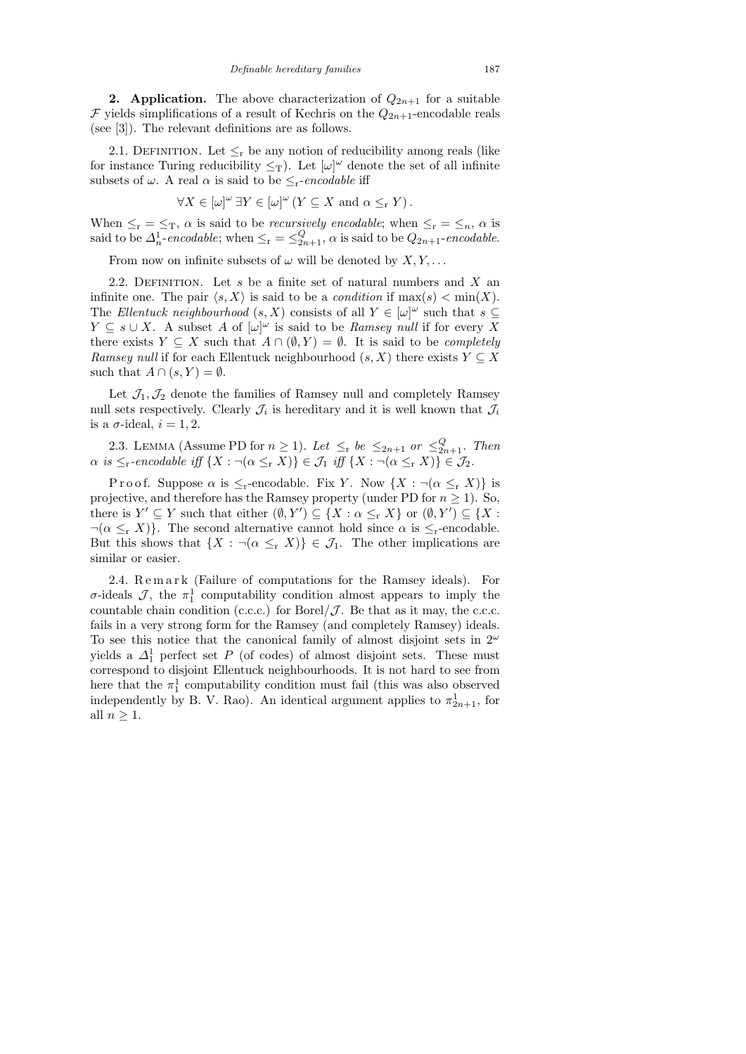**2. Application.** The above characterization of  $Q_{2n+1}$  for a suitable  $\mathcal F$  yields simplifications of a result of Kechris on the  $Q_{2n+1}$ -encodable reals (see [3]). The relevant definitions are as follows.

2.1. DEFINITION. Let  $\leq_r$  be any notion of reducibility among reals (like for instance Turing reducibility  $\leq_T$ ). Let  $[\omega]^\omega$  denote the set of all infinite subsets of  $\omega$ . A real  $\alpha$  is said to be  $\leq_r$ -encodable iff

$$
\forall X \in [\omega]^\omega \exists Y \in [\omega]^\omega \left( Y \subseteq X \text{ and } \alpha \leq_{\mathrm{r}} Y \right).
$$

When  $\leq_r = \leq_T$ ,  $\alpha$  is said to be *recursively encodable*; when  $\leq_r = \leq_n$ ,  $\alpha$  is said to be  $\Delta_n^1$ -encodable; when  $\leq_r = \leq_{2n+1}^Q$ ,  $\alpha$  is said to be  $Q_{2n+1}$ -encodable.

From now on infinite subsets of  $\omega$  will be denoted by  $X, Y, \ldots$ 

2.2. DEFINITION. Let  $s$  be a finite set of natural numbers and  $X$  an infinite one. The pair  $\langle s, X \rangle$  is said to be a *condition* if  $\max(s) < \min(X)$ . The Ellentuck neighbourhood  $(s, X)$  consists of all  $Y \in [\omega]^\omega$  such that  $s \subseteq$  $Y \subseteq s \cup X$ . A subset A of  $[\omega]^\omega$  is said to be Ramsey null if for every X there exists  $Y \subseteq X$  such that  $A \cap (\emptyset, Y) = \emptyset$ . It is said to be *completely* Ramsey null if for each Ellentuck neighbourhood  $(s, X)$  there exists  $Y \subseteq X$ such that  $A \cap (s, Y) = \emptyset$ .

Let  $\mathcal{J}_1,\mathcal{J}_2$  denote the families of Ramsey null and completely Ramsey null sets respectively. Clearly  $\mathcal{J}_i$  is hereditary and it is well known that  $\mathcal{J}_i$ is a  $\sigma$ -ideal,  $i = 1, 2$ .

2.3. LEMMA (Assume PD for  $n \geq 1$ ). Let  $\leq_{\rm r}$  be  $\leq_{2n+1}$  or  $\leq_{2n+1}^Q$ . Then  $\alpha$  is  $\leq_{\rm r}$ -encodable iff  $\{X : \neg(\alpha \leq_{\rm r} X)\} \in \mathcal{J}_1$  iff  $\{X : \neg(\alpha \leq_{\rm r} X)\} \in \mathcal{J}_2$ .

P r o o f. Suppose  $\alpha$  is  $\leq_r$ -encodable. Fix Y. Now  $\{X : \neg(\alpha \leq_r X)\}\$ is projective, and therefore has the Ramsey property (under PD for  $n \geq 1$ ). So, there is  $Y' \subseteq Y$  such that either  $(\emptyset, Y') \subseteq \{X : \alpha \leq_{r} X\}$  or  $(\emptyset, Y') \subseteq \{X : X\}$  $\neg(\alpha \leq_{r} X)$ . The second alternative cannot hold since  $\alpha$  is  $\leq_{r}$ -encodable. But this shows that  $\{X : \neg(\alpha \leq r X)\}\in \mathcal{J}_1$ . The other implications are similar or easier.

2.4. Remark (Failure of computations for the Ramsey ideals). For  $\sigma$ -ideals  $\mathcal{J}$ , the  $\pi_1^1$  computability condition almost appears to imply the countable chain condition (c.c.c.) for Borel/ $\mathcal J$ . Be that as it may, the c.c.c. fails in a very strong form for the Ramsey (and completely Ramsey) ideals. To see this notice that the canonical family of almost disjoint sets in  $2^{\omega}$ yields a  $\Delta_1^1$  perfect set P (of codes) of almost disjoint sets. These must correspond to disjoint Ellentuck neighbourhoods. It is not hard to see from here that the  $\pi_1^1$  computability condition must fail (this was also observed independently by B. V. Rao). An identical argument applies to  $\pi_{2n+1}^1$ , for all  $n \geq 1$ .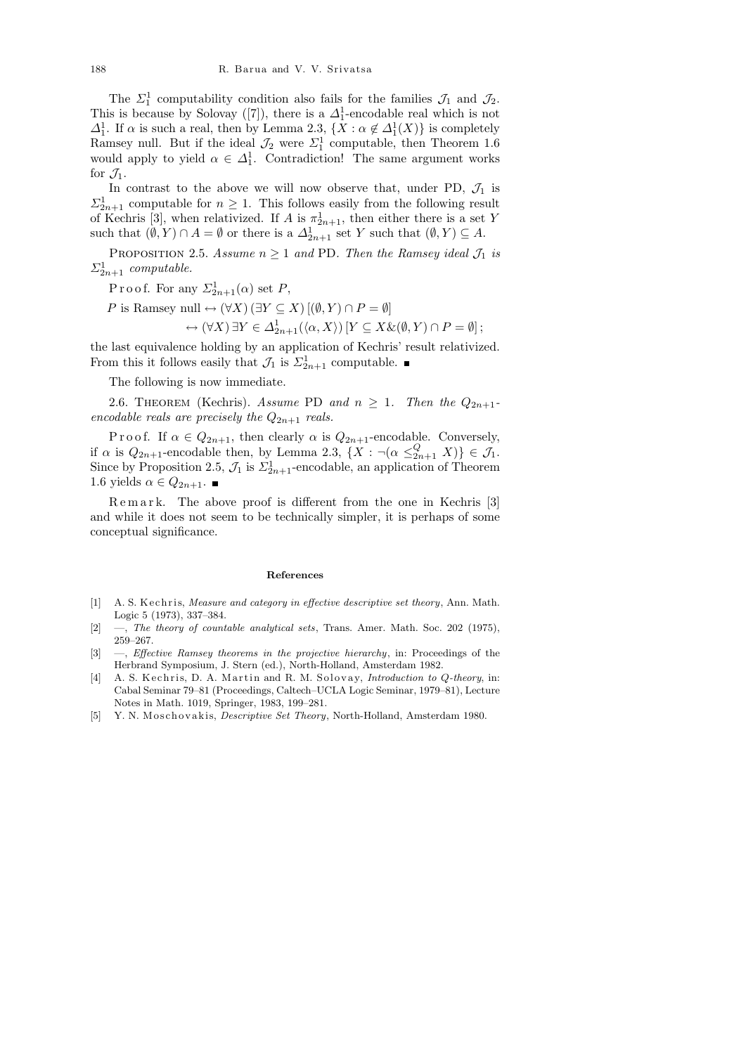The  $\Sigma_1^1$  computability condition also fails for the families  $\mathcal{J}_1$  and  $\mathcal{J}_2$ . This is because by Solovay ([7]), there is a  $\Delta_1^1$ -encodable real which is not  $\Delta_1^1$ . If  $\alpha$  is such a real, then by Lemma 2.3,  $\{X : \alpha \notin \Delta_1^1(X)\}\$ is completely Ramsey null. But if the ideal  $\mathcal{J}_2$  were  $\Sigma_1^1$  computable, then Theorem 1.6 would apply to yield  $\alpha \in \Delta_1^1$ . Contradiction! The same argument works for  $\mathcal{J}_1$ .

In contrast to the above we will now observe that, under PD,  $\mathcal{J}_1$  is  $\Sigma_{2n+1}^1$  computable for  $n \geq 1$ . This follows easily from the following result of Kechris [3], when relativized. If A is  $\pi_{2n+1}^1$ , then either there is a set Y such that  $(\emptyset, Y) \cap A = \emptyset$  or there is a  $\Delta^1_{2n+1}$  set Y such that  $(\emptyset, Y) \subseteq A$ .

PROPOSITION 2.5. Assume  $n \geq 1$  and PD. Then the Ramsey ideal  $\mathcal{J}_1$  is  $\Sigma_{2n+1}^1$  computable.

P r o o f. For any  $\Sigma_{2n+1}^1(\alpha)$  set P,

P is Ramsey null  $\leftrightarrow (\forall X) (\exists Y \subseteq X) [(\emptyset, Y) \cap P = \emptyset]$ 

$$
\leftrightarrow (\forall X)\,\exists Y\in \Delta^1_{2n+1}(\langle \alpha, X\rangle)\,[Y\subseteq X\&(\emptyset, Y)\cap P=\emptyset];
$$

the last equivalence holding by an application of Kechris' result relativized. From this it follows easily that  $\mathcal{J}_1$  is  $\Sigma_{2n+1}^1$  computable.

The following is now immediate.

2.6. THEOREM (Kechris). Assume PD and  $n \geq 1$ . Then the  $Q_{2n+1}$ encodable reals are precisely the  $Q_{2n+1}$  reals.

P r o o f. If  $\alpha \in Q_{2n+1}$ , then clearly  $\alpha$  is  $Q_{2n+1}$ -encodable. Conversely, if  $\alpha$  is  $Q_{2n+1}$ -encodable then, by Lemma 2.3,  $\{X : \neg(\alpha \leq_{2n+1}^Q X)\} \in \mathcal{J}_1$ . Since by Proposition 2.5,  $\mathcal{J}_1$  is  $\Sigma_{2n+1}^1$ -encodable, an application of Theorem 1.6 yields  $\alpha$  ∈  $Q_{2n+1}$ . ■

Remark. The above proof is different from the one in Kechris [3] and while it does not seem to be technically simpler, it is perhaps of some conceptual significance.

## References

- [1] A. S. Kechris, Measure and category in effective descriptive set theory, Ann. Math. Logic 5 (1973), 337–384.
- [2] —, The theory of countable analytical sets, Trans. Amer. Math. Soc. 202 (1975), 259–267.
- [3] —, Effective Ramsey theorems in the projective hierarchy, in: Proceedings of the Herbrand Symposium, J. Stern (ed.), North-Holland, Amsterdam 1982.
- [4] A. S. Kechris, D. A. Martin and R. M. Solovay, *Introduction to Q-theory*, in: Cabal Seminar 79–81 (Proceedings, Caltech–UCLA Logic Seminar, 1979–81), Lecture Notes in Math. 1019, Springer, 1983, 199–281.
- [5] Y. N. Moschovakis, *Descriptive Set Theory*, North-Holland, Amsterdam 1980.